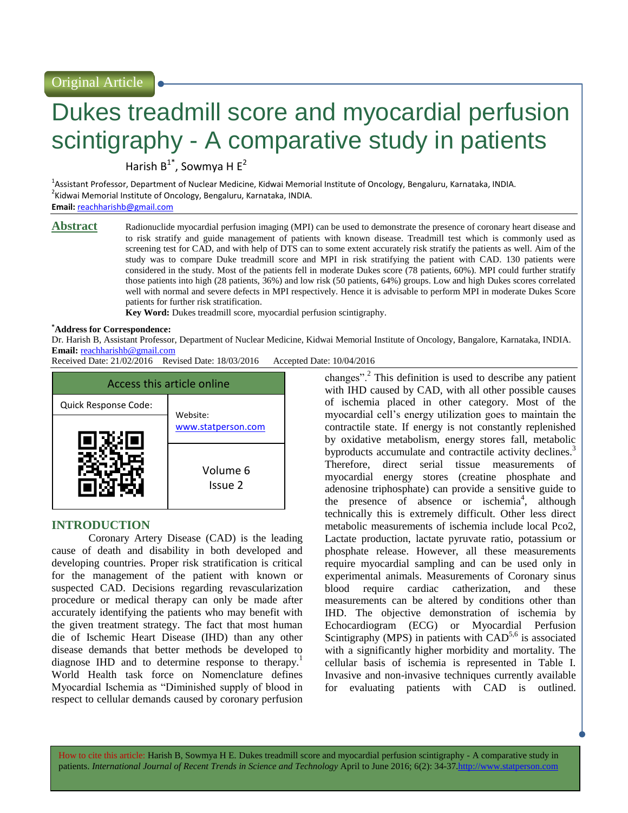Original Article

# Dukes treadmill score and myocardial perfusion scintigraphy - A comparative study in patients

Harish  $B^{1*}$ , Sowmya H E<sup>2</sup>

<sup>1</sup>Assistant Professor, Department of Nuclear Medicine, Kidwai Memorial Institute of Oncology, Bengaluru, Karnataka, INDIA. <sup>2</sup>Kidwai Memorial Institute of Oncology, Bengaluru, Karnataka, INDIA.

**Email:** [reachharishb@gmail.com](mailto:reachharishb@gmail.com) 

**Abstract** Radionuclide myocardial perfusion imaging (MPI) can be used to demonstrate the presence of coronary heart disease and to risk stratify and guide management of patients with known disease. Treadmill test which is commonly used as screening test for CAD, and with help of DTS can to some extent accurately risk stratify the patients as well. Aim of the study was to compare Duke treadmill score and MPI in risk stratifying the patient with CAD. 130 patients were considered in the study. Most of the patients fell in moderate Dukes score (78 patients, 60%). MPI could further stratify those patients into high (28 patients, 36%) and low risk (50 patients, 64%) groups. Low and high Dukes scores correlated well with normal and severe defects in MPI respectively. Hence it is advisable to perform MPI in moderate Dukes Score patients for further risk stratification.

**Key Word:** Dukes treadmill score, myocardial perfusion scintigraphy.

#### **\*Address for Correspondence:**

Dr. Harish B, Assistant Professor, Department of Nuclear Medicine, Kidwai Memorial Institute of Oncology, Bangalore, Karnataka, INDIA. **Email:** [reachharishb@gmail.com](mailto:reachharishb@gmail.com)

Received Date: 21/02/2016 Revised Date: 18/03/2016 Accepted Date: 10/04/2016



# **INTRODUCTION**

Coronary Artery Disease (CAD) is the leading cause of death and disability in both developed and developing countries. Proper risk stratification is critical for the management of the patient with known or suspected CAD. Decisions regarding revascularization procedure or medical therapy can only be made after accurately identifying the patients who may benefit with the given treatment strategy. The fact that most human die of Ischemic Heart Disease (IHD) than any other disease demands that better methods be developed to diagnose IHD and to determine response to therapy.<sup>1</sup> World Health task force on Nomenclature defines Myocardial Ischemia as "Diminished supply of blood in respect to cellular demands caused by coronary perfusion

changes".<sup>2</sup> This definition is used to describe any patient with IHD caused by CAD, with all other possible causes of ischemia placed in other category. Most of the myocardial cell's energy utilization goes to maintain the contractile state. If energy is not constantly replenished by oxidative metabolism, energy stores fall, metabolic byproducts accumulate and contractile activity declines.<sup>3</sup> Therefore, direct serial tissue measurements of myocardial energy stores (creatine phosphate and adenosine triphosphate) can provide a sensitive guide to the presence of absence or ischemia<sup>4</sup>, although technically this is extremely difficult. Other less direct metabolic measurements of ischemia include local Pco2, Lactate production, lactate pyruvate ratio, potassium or phosphate release. However, all these measurements require myocardial sampling and can be used only in experimental animals. Measurements of Coronary sinus blood require cardiac catherization, and these measurements can be altered by conditions other than IHD. The objective demonstration of ischemia by Echocardiogram (ECG) or Myocardial Perfusion Scintigraphy (MPS) in patients with  $CAD^{5,6}$  is associated with a significantly higher morbidity and mortality. The cellular basis of ischemia is represented in Table I. Invasive and non-invasive techniques currently available for evaluating patients with CAD is outlined.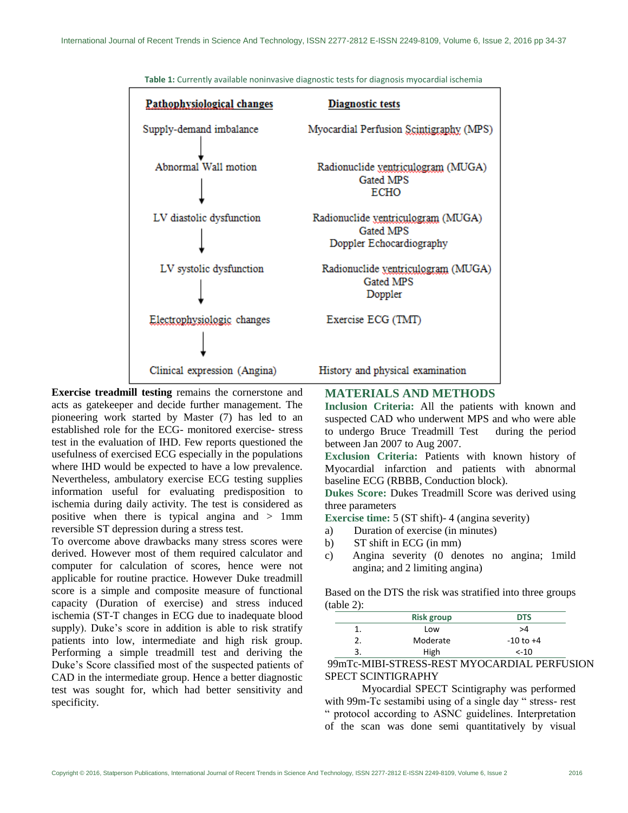

**Table 1:** Currently available noninvasive diagnostic tests for diagnosis myocardial ischemia

**Exercise treadmill testing** remains the cornerstone and acts as gatekeeper and decide further management. The pioneering work started by Master (7) has led to an established role for the ECG- monitored exercise- stress test in the evaluation of IHD. Few reports questioned the usefulness of exercised ECG especially in the populations where IHD would be expected to have a low prevalence. Nevertheless, ambulatory exercise ECG testing supplies information useful for evaluating predisposition to ischemia during daily activity. The test is considered as positive when there is typical angina and > 1mm reversible ST depression during a stress test.

To overcome above drawbacks many stress scores were derived. However most of them required calculator and computer for calculation of scores, hence were not applicable for routine practice. However Duke treadmill score is a simple and composite measure of functional capacity (Duration of exercise) and stress induced ischemia (ST-T changes in ECG due to inadequate blood supply). Duke's score in addition is able to risk stratify patients into low, intermediate and high risk group. Performing a simple treadmill test and deriving the Duke's Score classified most of the suspected patients of CAD in the intermediate group. Hence a better diagnostic test was sought for, which had better sensitivity and specificity.

**MATERIALS AND METHODS**

**Inclusion Criteria:** All the patients with known and suspected CAD who underwent MPS and who were able to undergo Bruce Treadmill Test during the period between Jan 2007 to Aug 2007.

**Exclusion Criteria:** Patients with known history of Myocardial infarction and patients with abnormal baseline ECG (RBBB, Conduction block).

**Dukes Score:** Dukes Treadmill Score was derived using three parameters

**Exercise time:** 5 (ST shift)- 4 (angina severity)

- a) Duration of exercise (in minutes)
- b) ST shift in ECG (in mm)
- c) Angina severity (0 denotes no angina; 1mild angina; and 2 limiting angina)

Based on the DTS the risk was stratified into three groups (table 2):

|   | <b>Risk group</b> | <b>DTS</b>    |
|---|-------------------|---------------|
|   | Low               | >4            |
|   | Moderate          | $-10$ to $+4$ |
| 3 | High              | $< -10$       |

99mTc-MIBI-STRESS-REST MYOCARDIAL PERFUSION SPECT SCINTIGRAPHY

Myocardial SPECT Scintigraphy was performed with 99m-Tc sestamibi using of a single day " stress- rest " protocol according to ASNC guidelines. Interpretation of the scan was done semi quantitatively by visual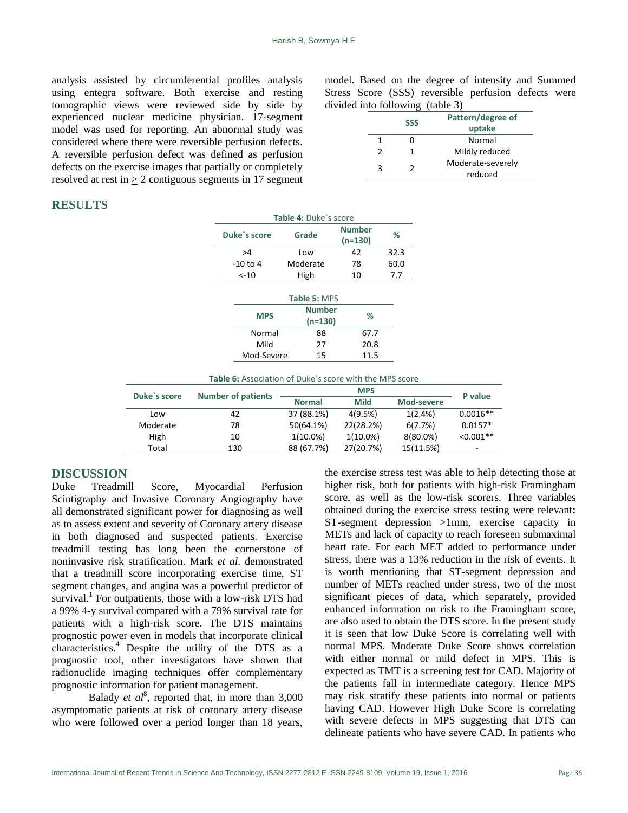analysis assisted by circumferential profiles analysis using entegra software. Both exercise and resting tomographic views were reviewed side by side by experienced nuclear medicine physician. 17-segment model was used for reporting. An abnormal study was considered where there were reversible perfusion defects. A reversible perfusion defect was defined as perfusion defects on the exercise images that partially or completely resolved at rest in  $\geq 2$  contiguous segments in 17 segment model. Based on the degree of intensity and Summed Stress Score (SSS) reversible perfusion defects were divided into following (table 3)

|               | <b>SSS</b> | Pattern/degree of |  |  |
|---------------|------------|-------------------|--|--|
|               |            | uptake            |  |  |
|               |            | Normal            |  |  |
| $\mathcal{P}$ |            | Mildly reduced    |  |  |
| ર             | Γ.         | Moderate-severely |  |  |
|               |            | reduced           |  |  |

# **RESULTS**

|              |                                                         | Table 4: Duke's score      |                          |            |             |
|--------------|---------------------------------------------------------|----------------------------|--------------------------|------------|-------------|
|              | Duke's score                                            | Grade                      | <b>Number</b><br>(n=130) | %          |             |
|              | >4                                                      | Low                        | 42                       | 32.3       |             |
|              | $-10$ to 4                                              | Moderate                   | 78                       | 60.0       |             |
|              | $< -10$                                                 | High                       | 10                       | 7.7        |             |
|              |                                                         | Table 5: MPS               |                          |            |             |
|              | <b>MPS</b>                                              | <b>Number</b><br>$(n=130)$ | %                        |            |             |
|              | Normal                                                  | 88                         | 67.7                     |            |             |
|              | Mild                                                    | 27                         | 20.8                     |            |             |
|              | Mod-Severe                                              | 15                         | 11.5                     |            |             |
|              | Table 6: Association of Duke's score with the MPS score |                            |                          |            |             |
| Duke's score | <b>Number of patients</b>                               |                            | <b>MPS</b>               |            | P value     |
|              |                                                         | <b>Normal</b>              | <b>Mild</b>              | Mod-severe |             |
| Low          | 42                                                      | 37 (88.1%)                 | 4(9.5%)                  | 1(2.4%)    | $0.0016**$  |
| Moderate     | 78                                                      | 50(64.1%)                  | 22(28.2%)                | 6(7.7%)    | $0.0157*$   |
| High         | 10                                                      | $1(10.0\%)$                | $1(10.0\%)$              | 8(80.0%)   | $< 0.001**$ |
| Total        | 130                                                     | 88 (67.7%)                 | 27(20.7%)                | 15(11.5%)  |             |

#### **DISCUSSION**

Duke Treadmill Score, Myocardial Perfusion Scintigraphy and Invasive Coronary Angiography have all demonstrated significant power for diagnosing as well as to assess extent and severity of Coronary artery disease in both diagnosed and suspected patients. Exercise treadmill testing has long been the cornerstone of noninvasive risk stratification. Mark *et al*. demonstrated that a treadmill score incorporating exercise time, ST segment changes, and angina was a powerful predictor of survival.<sup>1</sup> For outpatients, those with a low-risk DTS had a 99% 4-y survival compared with a 79% survival rate for patients with a high-risk score. The DTS maintains prognostic power even in models that incorporate clinical characteristics. <sup>4</sup> Despite the utility of the DTS as a prognostic tool, other investigators have shown that radionuclide imaging techniques offer complementary prognostic information for patient management.

Balady *et al*<sup>8</sup>, reported that, in more than  $3,000$ asymptomatic patients at risk of coronary artery disease who were followed over a period longer than 18 years,

the exercise stress test was able to help detecting those at higher risk, both for patients with high-risk Framingham score, as well as the low-risk scorers. Three variables obtained during the exercise stress testing were relevant**:**  ST-segment depression >1mm, exercise capacity in METs and lack of capacity to reach foreseen submaximal heart rate. For each MET added to performance under stress, there was a 13% reduction in the risk of events. It is worth mentioning that ST-segment depression and number of METs reached under stress, two of the most significant pieces of data, which separately, provided enhanced information on risk to the Framingham score, are also used to obtain the DTS score. In the present study it is seen that low Duke Score is correlating well with normal MPS. Moderate Duke Score shows correlation with either normal or mild defect in MPS. This is expected as TMT is a screening test for CAD. Majority of the patients fall in intermediate category. Hence MPS may risk stratify these patients into normal or patients having CAD. However High Duke Score is correlating with severe defects in MPS suggesting that DTS can delineate patients who have severe CAD. In patients who